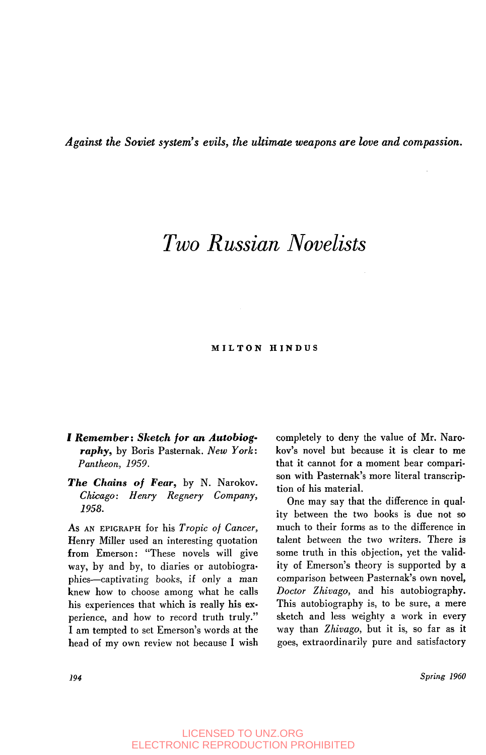*Against the Soviet system's evils, the ultimate weapons are love and compassion.* 

## *Two Russian Novelists*

### **MILTON HINDUS**

- **Z** *Remember: Sketch for an Autobiography,* by Boris Pasternak. *New York: Pantheon, 1959.*
- *The Chains of Fear,* by **N.** Narokov. *Chicago: Henry Regnery Company, 1958.*

**As AN EPIGRAPH** for his *Tropic of Cancer,*  Henry Miller used an interesting quotation from Emerson: "These novels will give way, by and by, to diaries or autobiographies-captivating books, if only a man knew how to choose among what he calls his experiences that which is really his **ex**perience, and how to record truth truly." I am tempted to set Emerson's words at the head of my own review not because I wish completely to deny the value of Mr. Narokov's novel but because it is clear to me that it cannot for a moment bear comparison with Pasternak's more literal transcription of his material.

One may say that the difference in quality between the two books is due not so much to their forms as to the difference in talent between the two writers. There is some truth in this objection, yet the validity of Emerson's theory is supported by a comparison between Pasternak's own novel, *Doctor Zhivago,* and his autobiography. This autobiography is, to be sure, a mere sketch and less weighty a work in every way than *Zhivago,* but it is, so far as **it**  goes, extraordinarily pure and satisfactory

*194 Spring 1960*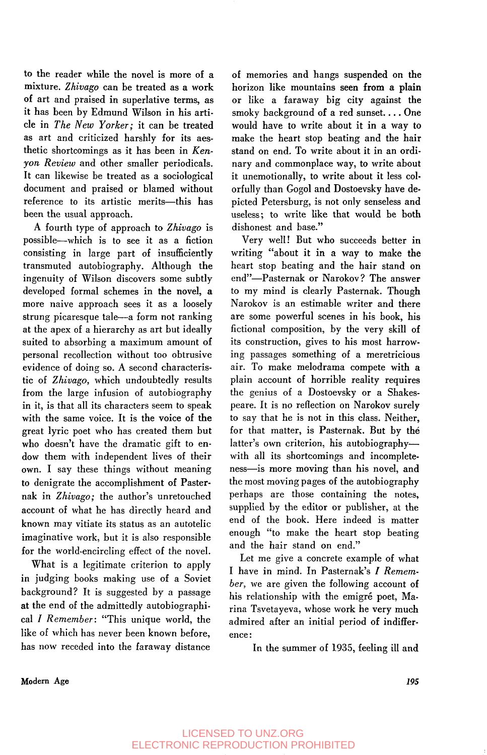to the reader while the novel is more of a mixture. *Zhivago* can be treated as a work of art and praised in superlative terms, as it has been by Edmund Wilson in his article in *The New Yorker;* it can be treated as art and criticized harshly for its aesthetic shortcomings as it has been in *Ken*yon. *Review* and other smaller periodicals. It can likewise be treated as a sociological document and praised or blamed without reference to its artistic merits-this has been the usual approach.

**A** fourth type of approach to *Zhivago* is possible-which is to see it as a fiction consisting in large part of insufficiently transmuted autobiography. Although the ingenuity of Wilson discovers some subtly developed formal schemes in the novel, a more naive approach sees it as a loosely strung picaresque tale-a form not ranking at the apex of a hierarchy as art but ideally suited to absorbing a maximum amount of personal recollection without too obtrusive evidence of doing so. A second characteristic of *Zhivago,* which undoubtedly results from the large infusion of autobiography in it, is that all its characters seem to speak with the same voice. It is the voice of the great lyric poet who has created them but who doesn't have the dramatic gift to endow them with independent lives of their own. I say these things without meaning **to** denigrate the accomplishment of Pasternak in *Zhivago;* the author's unretouched account **of** what he has directlv heard and known may vitiate its status as an autotelic imaginative work, but it is also responsible for the world-encircling effect of the novel.

What is a legitimate criterion to apply in judging books making use of a Soviet background? It is suggested by a passage at the end of the admittedly autobiographilike of which has never been known before, has now receded into the faraway distance cal *I Remember*: "This unique world, the admired after an initial period of indiffer-

**of** memories and hangs suspended on the horizon like mountains seen from a plain *or* like a faraway big city against the smoky background of a red sunset.. . . One would have **to** write about it in a way to make the heart stop beating and the hair stand on end. To write about it in an ordinary and commonplace way, to write about it unemotionally, to write about it less colorfully than Gogol and Dostoevsky have depicted Petersburg, is not only senseless and useless; to write like that would be both dishonest and base."

Very well! But who succeeds better in writing "about it in a way to make the heart stop beating and the hair stand on end"-Pasternak or Narokov? The answer to my mind is clearly Pasternak. Though Narokov is an estimable writer and there are some powerful scenes in his book, his fictional composition, by the very skill of its construction, gives to his most harrowing passages something of a meretricious air. To make melodrama compete with a plain account of horrible reality requires the genius of a Dostoevsky or a Shakespeare. It is no reflection on Narokov surely to say that he is not in this class. Neither, for that matter, is Pasternak. But by the latter's own criterion, his autobiographywith all its shortcomings and incompleteness-is more moving than his novel, and the most moving pages of the autobiography perhaps are those containing the notes, supplied by the editor or publisher, at the end of the book. Here indeed is matter enough "to make the heart stop beating and the hair stand on end."

rina Tsvetayeva, whose work he very much ence: Let me give a concrete example of what I have in mind. In Pasternak's *I Remember,* we are given the following account of his relationship with the emigré poet, Ma-

In the summer of **1935,** feeling ill and

**Modern Age** *195*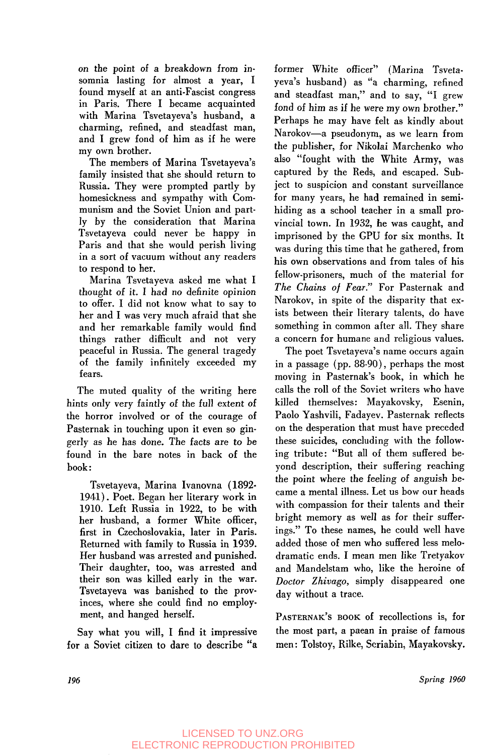on the point of a breakdown from insomnia lasting for almost a year, I found myself at an anti-Fascist congress in Paris. There I became acquainted with Marina Tsvetayeva's husband, a charming, refined, and steadfast man, and I grew fond of him as if he were my own brother.

The members of Marina Tsvetayeva's family insisted that she should return to Russia. They were prompted partly by homesickness and sympathy with Communism and the Soviet Union and partly by the consideration that Marina Tsvetayeva could never be happy in Paris and that she would perish living in *a* sort of vacuum without any readers to respond to her.

Marina Tsvetayeva asked me what **I**  thought of it. I had no definite opinion to offer. I did not know what to say to her and **I** was very much afraid that she and her remarkable family would find things rather difficult and not very peaceful in Russia. The general tragedy of the family infinitely exceeded my fears.

The muted quality of the writing here hints only very faintly of the full extent of the horror involved or of the courage of Pasternak in touching upon it even so gingerly as he has done. The facts are to be found in the bare notes in back **of** the book :

Tsvetayeva, Marina Ivanovna **(1892-**  1941). Poet. Began her literary work in 1910. Left Russia in 1922, to be with her husband, a former White officer, first in Czechoslovakia, later in Paris. Returned with family to Russia in **1939.**  Her husband was arrested and punished. Their daughter, too, was arrested and their son was killed early in the war. Tsvetayeva was banished to the provinces, where she could find no employment, and hanged herself.

Say what you will, I find it impressive for a Soviet citizen to dare to describe "a

former White officer" (Marina Tsvetayeva's husband) as "a charming, refined and steadfast man," and to say, "I grew fond of him as if he were my own brother." Perhaps he may have felt as kindly about Narokov-a pseudonym, as we learn from the publisher, for Nikolai Marchenko who also "fought with the White Army, was captured by the Reds, and escaped. Subject to suspicion and constant surveillance for many years, he had remained in semihiding as a school teacher in a small provincial town. In **1932,** he was caught, and imprisoned by the **GPU** for six months. It was during this time that he gathered, from his own observations and from tales of his fellow-prisoners, much of the material for *The Chins of Fear."* For Pasternak and Narokov, in spite of the disparity that exists between their literary talents, do have something in common after all. They share a concern for humane and religious values.

The poet Tsvetayeva's name occurs again in a passage (pp. 88-90), perhaps the most moving in Pasternak's book, in which he calls the roll of the Soviet writers who have killed themselves: Mayakovsky, Esenin, Paolo Yashvili, Fadayev. Pasternak reflects on the desperation that must have preceded these suicides, concluding with the following tribute: "But all of them suffered beyond description, their suffering reaching the point where the feeling of anguish became a mental illness. Let us bow our heads with compassion for their talents and their bright memory as well as for their sufferings." To these names, he could well have added those **of** men who suffered less melodramatic ends. I mean men like Tretyakov and Mandelstam who, like the heroine of *Doctor Zhivago,* simply disappeared one day without a trace.

PASTERNAK'S BOOK of recollections is, for the most part, a paean in praise of famous men: Tolstoy, Rilke, Scriabin, Mayakovsky.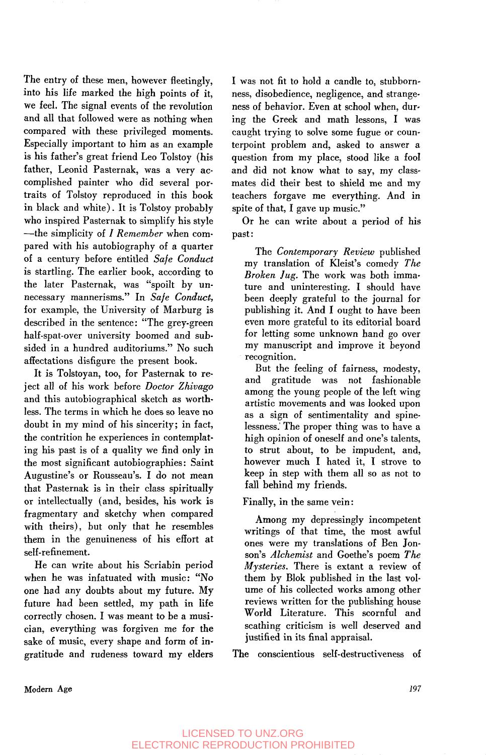The entry of these men, however fleetingly, into his life marked the high points of it, we feel. The signal events of the revolution and all that followed were as nothing when compared with these privileged moments. Especially important to him as an example is his father's great friend Leo Tolstoy (his father, Leonid Pasternak, was a very **ac**complished painter who did several portraits of Tolstoy reproduced in this book in black and white). It is Tolstoy probably who inspired Pasternak to simplify his style -the simplicity of *I Remember* when compared with his autobiography of a quarter of a century before entitled *Safe Conduct*  is startling. The earlier book, according to the later Pasternak, was "spoilt by unnecessary mannerisms." In *Safe Conduct,*  for example, the University of Marburg is described in the sentence: "The grey-green half-spat-over university boomed and subsided in a hundred auditoriums." No such affectations disfigure the present book.

It is Tolstoyan, too, for Pasternak to reject all of his work before *Doctor Zhivago*  and this autobiographical sketch as worthless. The terms in which he does **so** leave no doubt in my mind of his sincerity; in fact, the contrition he experiences in contemplating his past is of a quality we find only in the most significant autobiographies: Saint Augustine's or Rousseau's. I do not mean that Pasternak is in their class spiritually or intellectually (and, besides, his work is fragmentary and sketchy when compared with theirs), but only that he resembles them in the genuineness of his effort at self-refinement.

He can write about his Scriabin period when he was infatuated with music: **"No**  one had any doubts about my future. **My**  future had been settled, my path in life correctly chosen. I was meant to be a musician, everything was forgiven me for the sake of music, every shape and form of ingratitude and rudeness toward my elders

I was not fit to hold a candle to, stubbornness, disobedience, negligence, and strangeness of behavior. Even at school when, during the Greek and math lessons, I was caught trying to solve some fugue or counterpoint problem and, asked to answer **a**  question from my place, stood like a fool and did not know what to say, my dassmates did their best to shield me and my teachers forgave me everything. And in spite of that, I gave up music."

Or he can write about a period of his past:

The *Contemporary Review* published my translation of Kleist's comedy *The Broken Jug.* The work was both immature and uninteresting. I should have been deeply grateful to the journal for publishing it. And I ought to have been even more grateful to its editorial board for letting some unknown hand go over my manuscript and improve it beyond recognition.

But the feeling of fairness, modesty, and gratitude was not fashionable among the young people of the left wing artistic movements and was looked upon as a sign of sentimentality and spinelessness.' The proper thing was to have a high opinion **of** oneself and one's talents, to strut about, to be impudent, and, however much I hated it, I strove to keep in step with them all so as not to fall behind my friends.

#### Finally, in the same vein :

Among my depressingly incompetent writings of that time, the most awful ones were my translations of Ben Jonson's *Alchemist* and Goethe's poem *The Mysteries.* There is extant a review **of**  them by Blok published in the last volume of his collected works among other reviews written for the publishing house World Literature. This scornful and scathing criticism is well deserved and justified in its final appraisal.

The conscientious self-destructiveness of

**Modem Age** 197

LICENSED TO UNZ.ORG ELECTRONIC REPRODUCTION PROHIBITED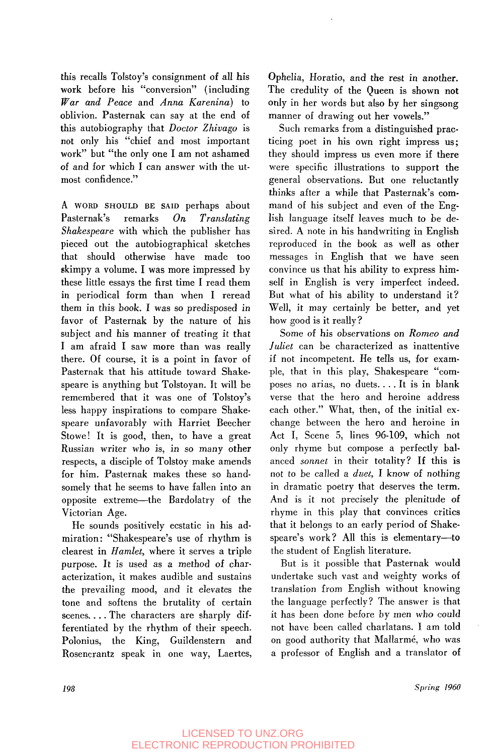this recalls Tolstoy's consignment of all his work before his "conversion" (including *War and Peace* and *Anna Karenina)* to oblivion. Pasternak can say at the end of this autobiography that *Doctor Zhivago* is not only his "chief and most important work" but "the only one I am not ashamed of and for which I can answer with the utmost confidence."

**A WORD SHOULD BE SAID** perhaps about Pasternak's remarks *On Translating Shakespeare* with which the publisher has pieced out the autobiographical sketches that should otherwise have made too skimpy a volume. I was more impressed by these little essays the first time I read them in periodical form than when I reread them in this book. I was so predisposed in favor of Pasternak by the nature of his subject and his manner of treating it that I am afraid I saw more than was really there. Of course, it is a point in favor of Pasternak that his attitude toward Shakespeare is anything but Tolstoyan. It will be remembered that it was one of Tolstoy's less happy inspirations to compare Shakespeare unfavorably with Harriet Beecher Stowe! It is good, then, to have a great Russian writer who is, in so many other respects, a disciple of Tolstoy make amends for him. Pasternak makes these so handsomely that he seems to have fallen into an opposite extreme-the Bardolatry of the Victorian Age.

He sounds positively ecstatic in his admiration: "Shakespeare's use of rhythm is clearest in *Hamlet,* where it serves a triple purpose. It is used as *a* method of characterization, it makes audible and sustains the prevailing mood, and it elevates the tone and softens the brutality of certain scenes.... The characters are sharply differentiated by the rhythm of their speech. Polonius, the King, Guildenstern and Rosencrantz speak in one way, Laertes, Ophelia, Horatio, and the rest in another. The credulity of the Queen is shown not only in her words but also by her singsong manner of drawing out her vowels."

Such remarks from a distinguished practicing poet in his own right impress us; they should impress us even more if there were specific illustrations to support the general observations. But one reluctantly thinks after a while that Pasternak's command of his subject and even of the English language itself leaves much to be desired. **A** note in his handwriting in English reproduced in the book as well as other messages in English that we have seen convince us that his ability *to* express himself in English is very imperfect indeed. But what of his ability to understand it? Well, it may certainly be better, and yet how good is it really?

Some of his observations on *Romeo and Juliet* can be characterized as inattentive if not incompetent. He tells us, for example, that in this play, Shakespeare "composes no arias, no duets. . . . It is in blank verse that the hero and heroine address each other." What, then, of the initial exchange between the hero and heroine in Act I, Scene 5, lines 96-109, which not only rhyme but compose a perfectly balanced *sonnet* in their totality? If this is not to be called a *duet,* I know of nothing in dramatic poetry that deserves the term. And is it not precisely the plenitude of rhyme in this play that convinces critics that it belongs to an early period of Shakespeare's work? All this is elementary-to the student of English literature.

But is it possible that Pasternak would undertake such vast and weighty works of translation from English without knowing the language perfectly? The answer is that it has been done before by men who could not have been called charlatans. I am told on good authority that Mallarmé, who was a professor of English and a translator of

*198 Spring 1960*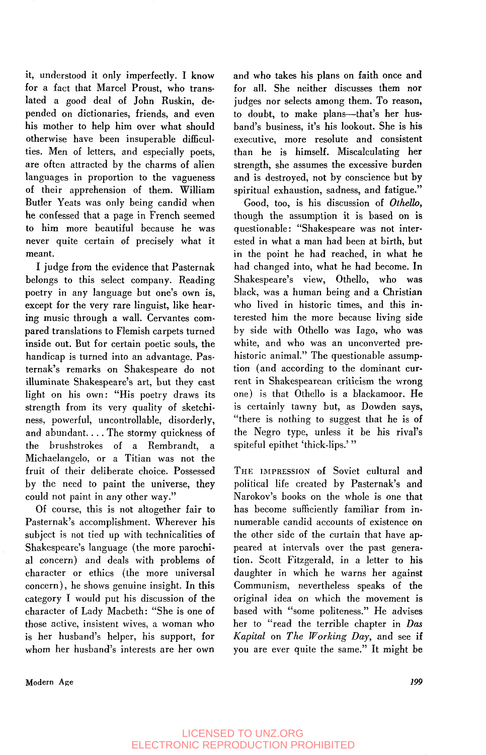it, understood it only imperfectly. I know for a fact that Marcel Proust, who translated a good deal of John Ruskin, depended on dictionaries, friends, and even his mother to help him over what should otherwise have been insuperable difficulties. Men of letters, and especially poets, are often attracted by the charms of alien languages in proportion to the vagueness of their apprehension of them. William Butler Yeats was only being candid when he confessed that a page in French seemed to him more beautiful because he was never quite certain of precisely what it meant.

I judge from the evidence that Pasternak belongs to this select company. Reading poetry in any language but one's own is, except for the very rare linguist, like hearing music through a wall. Cervantes compared translations to Flemish carpets turned inside out. But for certain poetic souls, the handicap is turned into an advantage. Pasternak's remarks on Shakespeare do not illuminate Shakespeare's art, but they cast light on his own: "His poetry draws its strength from its very quality of sketchiness, powerful, uncontrollable, disorderly, and abundant. . . . The stormy quickness of the brushstrokes of a Rembrandt, Michaelangelo, or a Titian was not the fruit of their deliberate choice. Possessed by the need to paint the universe, they could not paint in any other way."

Of course, this is not altogether fair to Pasternak's accomplishment. Wherever his subject is not tied up with technicalities of Shakespeare's language (the more parochial concern) and deals with problems of character or ethics (the more universal concern) , he shows genuine insight. In this category I would put his discussion of the character of Lady Macbeth: "She is one of those active, insistent wives, a woman who is her husband's helper, his support, for whom her husband's interests are her own and who takes his plans on faith once and for all. She neither discusses them nor judges nor selects among them. To reason, to doubt, to make plans-that's her husband's business, it's his lookout. She is his executive, more resolute and consistent than he is himself. Miscalculating her strength, she assumes the excessive burden and is destroyed, not by conscience but by spiritual exhaustion, sadness, and fatigue."

Good, too, is his discussion of *Othello,*  though the assumption it is based on is questionable: "Shakespeare was not interested in what a man had been at birth, but in the point he had reached, in what he had changed into, what he had become. In Shakespeare's view, Othello, who was black, was a human being and a Christian who lived in historic times, and this interested him the more because living side by side with Othello was Iago, who was white, and who was an unconverted prehistoric animal." The questionable assumption (and according to the dominant current in Shakespearean criticism the wrong one) is that Othello is a blackamoor. He is certainly tawny but, as Dowden says, "there is nothing to suggest that he is of the Negro type, unless it be his rival's spiteful epithet 'thick-lips.'"

THE IMPRESSION of Soviet cultural and political life created by Pasternak's and Narokov's books on the whole is one that has become sufficiently familiar from innumerable candid accounts of existence on the other side of the curtain that have appeared at intervals over the past generation. Scott Fitzgerald, in a letter to his daughter in which he warns her against Communism, nevertheless speaks of the original idea on which the movement is based with "some politeness." He advises her to "read the terrible chapter in *Das Kapital* on *The Working Day,* and see if you are ever quite the same." It might be

**Modern Age** *199*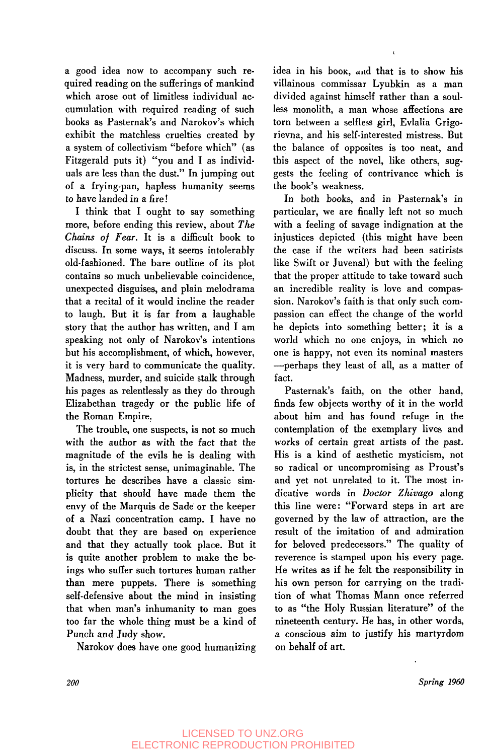a good idea now to accompany such required reading on the sufferings of mankind which arose out of limitless individual accumulation with required reading of such books as Pasternak's and Narokov's which exhibit the matchless cruelties created by a system of collectivism "before which" (as Fitzgerald puts it) "you and I as individuals are less than the dust." In jumping out of a frying-pan, hapless humanity seems to have landed in a fire!

I think that **I** ought to say something more, before ending this review, about *The Chains of Fear.* It is a difficult book to discuss. In some ways, it seems intolerably old-fashioned. The bare outline of its plot contains so much unbelievable coincidence, unexpected disguises, and plain melodrama that a recital of it would incline the reader to laugh. But it is far from a laughable story that the author has written, and **I** am speaking not only of Narokov's intentions but his accomplishment, of which, however, it is very hard to communicate the quality. Madness, murder, and suicide stalk through his pages as relentlessly as they do through Elizabethan tragedy or the public life of the Roman Empire,

The trouble, one suspects, is not so much with the author **as** with the fact that the magnitude of the evils he is dealing with is, in the strictest sense, unimaginable. The tortures he describes have a classic simplicity that should have made them the envy of the Marquis de Sade or the keeper of a Nazi concentration camp. I have no doubt that they are based on experience and that they actually took place. But it is quite another problem to make the beings who suffer such tortures human rather **than** mere puppets. There is something self-defensive about the mind in insisting that when man's inhumanity to man goes too far the whole thing must be a kind of Punch and Judy show.

Narokov does have one good humanizing

idea in his book, and that is to show his villainous commissar Lyubkin as a man divided against himself rather than a soulless monolith, a man whose affections are torn between a selfless girl, Evlalia Grigorievna, and his self-interested mistress. But the balance of opposites is too neat, and this aspect of the novel, like others, suggests the feeling of contrivance which is the book's weakness.

In both books, and in Pasternak's in particular, we are finally left not so much with a feeling of savage indignation at the injustices depicted (this might have been the case if the writers had been satirists like Swift or Juvenal) but with the feeling that the proper attitude to take toward such an incredible reality is love and compassion. Narokov's faith is that only such compassion can effect the change of the world he depicts into something better; it is a world which no one enjoys, in which no one is happy, not even its nominal masters -perhaps they least of all, as a matter of fact.

Pasternak's faith, on the other hand, finds few objects worthy of it in the world about him and has found refuge in the contemplation of the exemplary lives and works of certain great artists of the past. His is a kind of aesthetic mysticism, not so radical or uncompromising **as** Proust's and yet not unrelated to it. The most indicative words in *Doctor Zhivago* along this line were: "Forward steps in art are governed by the law of attraction, are the result of the imitation of and admiration for beloved predecessors." The quality of reverence is stamped upon his every page. He writes as if he felt the responsibility in his own person for carrying on the tradition of what Thomas Mann once referred to as "the Holy Russian literature" of the nineteenth century. He has, in other words, a conscious aim to justify his martyrdom on behalf of art.

*200 Spring 1960*